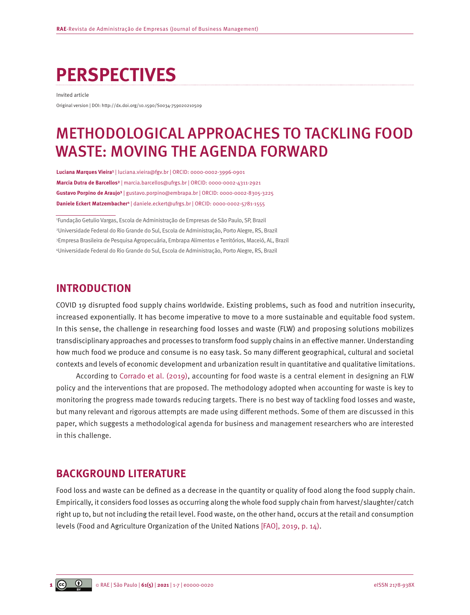# **PERSPECTIVES**

Invited article

Original version | DOI: http://dx.doi.org/10.1590/S0034-759020210509

## METHODOLOGICAL APPROACHES TO TACKLING FOOD WASTE: MOVING THE AGENDA FORWARD

**Luciana Marques Vieira¹** | [luciana.vieira@fgv.br](mailto:luciana.vieira@fgv.br) | ORCID: 0000-0002-3996-0901 **Marcia Dutra de Barcellos²** | [marcia.barcellos@ufrgs.br](mailto:marcia.barcellos@ufrgs.br) | ORCID: 0000-0002-4311-2921 **Gustavo Porpino de Araujo³** | [gustavo.porpino@embrapa.br](mailto:gustavo.porpino@embrapa.br) | ORCID: 0000-0002-8305-3225 **Daniele Eckert Matzembacher4** | [daniele.eckert@ufrgs.br](mailto:daniele.eckert@ufrgs.br) | ORCID: 0000-0002-5781-1555

 Fundação Getulio Vargas, Escola de Administração de Empresas de São Paulo, SP, Brazil Universidade Federal do Rio Grande do Sul, Escola de Administração, Porto Alegre, RS, Brazil Empresa Brasileira de Pesquisa Agropecuária, Embrapa Alimentos e Territórios, Maceió, AL, Brazil Universidade Federal do Rio Grande do Sul, Escola de Administração, Porto Alegre, RS, Brazil

### **INTRODUCTION**

COVID 19 disrupted food supply chains worldwide. Existing problems, such as food and nutrition insecurity, increased exponentially. It has become imperative to move to a more sustainable and equitable food system. In this sense, the challenge in researching food losses and waste (FLW) and proposing solutions mobilizes transdisciplinary approaches and processes to transform food supply chains in an effective manner. Understanding how much food we produce and consume is no easy task. So many different geographical, cultural and societal contexts and levels of economic development and urbanization result in quantitative and qualitative limitations.

According to [Corrado et al. \(2019\),](#page-5-0) accounting for food waste is a central element in designing an FLW policy and the interventions that are proposed. The methodology adopted when accounting for waste is key to monitoring the progress made towards reducing targets. There is no best way of tackling food losses and waste, but many relevant and rigorous attempts are made using different methods. Some of them are discussed in this paper, which suggests a methodological agenda for business and management researchers who are interested in this challenge.

## **BACKGROUND LITERATURE**

Food loss and waste can be defined as a decrease in the quantity or quality of food along the food supply chain. Empirically, it considers food losses as occurring along the whole food supply chain from harvest/slaughter/catch right up to, but not including the retail level. Food waste, on the other hand, occurs at the retail and consumption levels (Food and Agriculture Organization of the United Nations [\[FAO\], 2019, p. 14\).](#page-5-0)

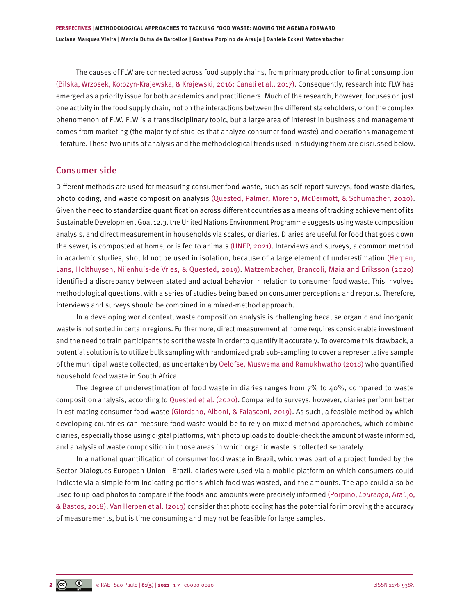The causes of FLW are connected across food supply chains, from primary production to final consumption [\(Bilska, Wrzosek, Kołożyn-Krajewska, & Krajewski, 2016; Canali et al., 2017\)](#page-5-0). Consequently, research into FLW has emerged as a priority issue for both academics and practitioners. Much of the research, however, focuses on just one activity in the food supply chain, not on the interactions between the different stakeholders, or on the complex phenomenon of FLW. FLW is a transdisciplinary topic, but a large area of interest in business and management comes from marketing (the majority of studies that analyze consumer food waste) and operations management literature. These two units of analysis and the methodological trends used in studying them are discussed below.

#### Consumer side

Different methods are used for measuring consumer food waste, such as self-report surveys, food waste diaries, photo coding, and waste composition analysis [\(Quested, Palmer, Moreno, McDermott, & Schumacher, 2020\)](#page-6-0). Given the need to standardize quantification across different countries as a means of tracking achievement of its Sustainable Development Goal 12.3, the United Nations Environment Programme suggests using waste composition analysis, and direct measurement in households via scales, or diaries. Diaries are useful for food that goes down the sewer, is composted at home, or is fed to animals [\(UNEP, 2021\)](#page-6-0). Interviews and surveys, a common method in academic studies, should not be used in isolation, because of a large element of underestimation [\(Herpen,](#page-5-0) [Lans, Holthuysen, Nijenhuis-de Vries, & Quested, 2019\)](#page-5-0). [Matzembacher, Brancoli, Maia and Eriksson \(2020\)](#page-5-0) identified a discrepancy between stated and actual behavior in relation to consumer food waste. This involves methodological questions, with a series of studies being based on consumer perceptions and reports. Therefore, interviews and surveys should be combined in a mixed-method approach.

In a developing world context, waste composition analysis is challenging because organic and inorganic waste is not sorted in certain regions. Furthermore, direct measurement at home requires considerable investment and the need to train participants to sort the waste in order to quantify it accurately. To overcome this drawback, a potential solution is to utilize bulk sampling with randomized grab sub-sampling to cover a representative sample of the municipal waste collected, as undertaken by [Oelofse, Muswema and Ramukhwatho \(2018\)](#page-5-0) who quantified household food waste in South Africa.

The degree of underestimation of food waste in diaries ranges from 7% to 40%, compared to waste composition analysis, according to [Quested et al.](#page-6-0) (2020). Compared to surveys, however, diaries perform better in estimating consumer food waste [\(Giordano, Alboni, & Falasconi, 2019\)](#page-5-0). As such, a feasible method by which developing countries can measure food waste would be to rely on mixed-method approaches, which combine diaries, especially those using digital platforms, with photo uploads to double-check the amount of waste informed, and analysis of waste composition in those areas in which organic waste is collected separately.

In a national quantification of consumer food waste in Brazil, which was part of a project funded by the Sector Dialogues European Union– Brazil, diaries were used via a mobile platform on which consumers could indicate via a simple form indicating portions which food was wasted, and the amounts. The app could also be used to upload photos to compare if the foods and amounts were precisely informed [\(Porpino,](#page-6-0) *Lourenço*, Araújo, [& Bastos, 2018\). Van Herpen et al. \(2019\)](#page-6-0) consider that photo coding has the potential for improving the accuracy of measurements, but is time consuming and may not be feasible for large samples.

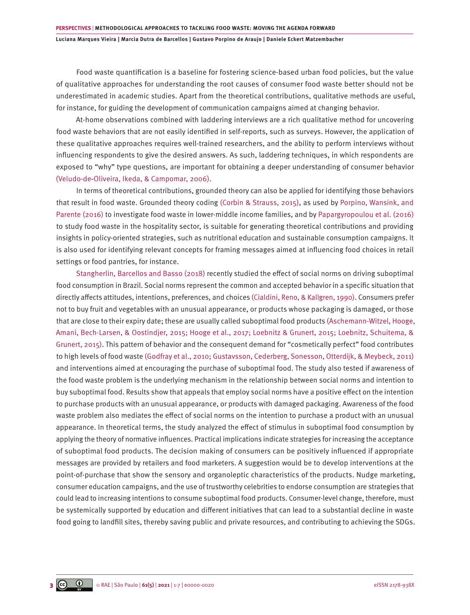Food waste quantification is a baseline for fostering science-based urban food policies, but the value of qualitative approaches for understanding the root causes of consumer food waste better should not be underestimated in academic studies. Apart from the theoretical contributions, qualitative methods are useful, for instance, for guiding the development of communication campaigns aimed at changing behavior.

At-home observations combined with laddering interviews are a rich qualitative method for uncovering food waste behaviors that are not easily identified in self-reports, such as surveys. However, the application of these qualitative approaches requires well-trained researchers, and the ability to perform interviews without influencing respondents to give the desired answers. As such, laddering techniques, in which respondents are exposed to "why" type questions, are important for obtaining a deeper understanding of consumer behavior (Veludo‐de‐Oliveira, [Ikeda, &](https://www.emerald.com/insight/search?q=Ana Akemi Ikeda) [Campomar, 2](https://www.emerald.com/insight/search?q=Marcos Cortez Campomar)006).

In terms of theoretical contributions, grounded theory can also be applied for identifying those behaviors that result in food waste. Grounded theory coding [\(Corbin & Strauss, 2015\),](#page-5-0) as used by [Porpino, Wansink, and](#page-6-0) [Parente \(2016\)](#page-6-0) to investigate food waste in lower-middle income families, and by [Papargyropoulou et al. \(2016\)](#page-6-0) to study food waste in the hospitality sector, is suitable for generating theoretical contributions and providing insights in policy-oriented strategies, such as nutritional education and sustainable consumption campaigns. It is also used for identifying relevant concepts for framing messages aimed at influencing food choices in retail settings or food pantries, for instance.

[Stangherlin, Barcellos and Basso \(2018\)](#page-6-0) recently studied the effect of social norms on driving suboptimal food consumption in Brazil. Social norms represent the common and accepted behavior in a specific situation that directly affects attitudes, intentions, preferences, and choices [\(Cialdini, Reno, & Kallgren, 1990\).](#page-5-0) Consumers prefer not to buy fruit and vegetables with an unusual appearance, or products whose packaging is damaged, or those that are close to their expiry date; these are usually called suboptimal food products [\(Aschemann-Witzel, Hooge,](#page-5-0) [Amani, Bech-Larsen, & Oostindjer, 2015; Hooge et al., 2017; Loebnitz & Grunert, 2015; Loebnitz, Schuitema, &](#page-5-0) [Grunert, 2015\)](#page-5-0). This pattern of behavior and the consequent demand for "cosmetically perfect" food contributes to high levels of food waste [\(Godfray et al., 2010; Gustavsson, Cederberg, Sonesson, Otterdijk, & Meybeck, 2011\)](#page-5-0) and interventions aimed at encouraging the purchase of suboptimal food. The study also tested if awareness of the food waste problem is the underlying mechanism in the relationship between social norms and intention to buy suboptimal food. Results show that appeals that employ social norms have a positive effect on the intention to purchase products with an unusual appearance, or products with damaged packaging. Awareness of the food waste problem also mediates the effect of social norms on the intention to purchase a product with an unusual appearance. In theoretical terms, the study analyzed the effect of stimulus in suboptimal food consumption by applying the theory of normative influences. Practical implications indicate strategies for increasing the acceptance of suboptimal food products. The decision making of consumers can be positively influenced if appropriate messages are provided by retailers and food marketers. A suggestion would be to develop interventions at the point-of-purchase that show the sensory and organoleptic characteristics of the products. Nudge marketing, consumer education campaigns, and the use of trustworthy celebrities to endorse consumption are strategies that could lead to increasing intentions to consume suboptimal food products. Consumer-level change, therefore, must be systemically supported by education and different initiatives that can lead to a substantial decline in waste food going to landfill sites, thereby saving public and private resources, and contributing to achieving the SDGs.

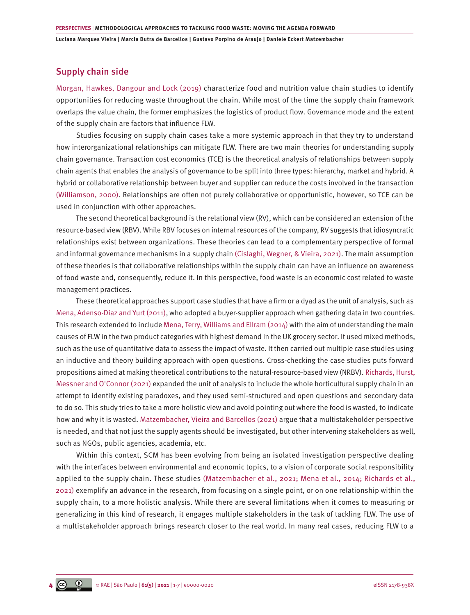#### Supply chain side

[Morgan, Hawkes, Dangour and Lock \(2019\)](#page-5-0) characterize food and nutrition value chain studies to identify opportunities for reducing waste throughout the chain. While most of the time the supply chain framework overlaps the value chain, the former emphasizes the logistics of product flow. Governance mode and the extent of the supply chain are factors that influence FLW.

Studies focusing on supply chain cases take a more systemic approach in that they try to understand how interorganizational relationships can mitigate FLW. There are two main theories for understanding supply chain governance. Transaction cost economics (TCE) is the theoretical analysis of relationships between supply chain agents that enables the analysis of governance to be split into three types: hierarchy, market and hybrid. A hybrid or collaborative relationship between buyer and supplier can reduce the costs involved in the transaction [\(Williamson, 2000\)](#page-6-0). Relationships are often not purely collaborative or opportunistic, however, so TCE can be used in conjunction with other approaches.

The second theoretical background is the relational view (RV), which can be considered an extension of the resource-based view (RBV). While RBV focuses on internal resources of the company, RV suggests that idiosyncratic relationships exist between organizations. These theories can lead to a complementary perspective of formal and informal governance mechanisms in a supply chain (Cislaghi, [Wegner, &](https://www.emerald.com/insight/search?q=Douglas Wegner) [Vieira,](https://www.emerald.com/insight/search?q=Luciana Marques Vieira) 2021). The main assumption of these theories is that collaborative relationships within the supply chain can have an influence on awareness of food waste and, consequently, reduce it. In this perspective, food waste is an economic cost related to waste management practices.

These theoretical approaches support case studies that have a firm or a dyad as the unit of analysis, such as [Mena, Adenso-Diaz and Yurt \(2011\)](#page-5-0), who adopted a buyer-supplier approach when gathering data in two countries. This research extended to include [Mena, Terry, Williams and Ellram \(2014\)](#page-5-0) with the aim of understanding the main causes of FLW in the two product categories with highest demand in the UK grocery sector. It used mixed methods, such as the use of quantitative data to assess the impact of waste. It then carried out multiple case studies using an inductive and theory building approach with open questions. Cross-checking the case studies puts forward propositions aimed at making theoretical contributions to the natural-resource-based view (NRBV). [Richards, Hurst,](#page-6-0) [Messner and O'Connor \(2021\)](#page-6-0) expanded the unit of analysis to include the whole horticultural supply chain in an attempt to identify existing paradoxes, and they used semi-structured and open questions and secondary data to do so. This study tries to take a more holistic view and avoid pointing out where the food is wasted, to indicate how and why it is wasted. [Matzembacher, Vieira and Barcellos \(2021\)](#page-5-0) argue that a multistakeholder perspective is needed, and that not just the supply agents should be investigated, but other intervening stakeholders as well, such as NGOs, public agencies, academia, etc.

Within this context, SCM has been evolving from being an isolated investigation perspective dealing with the interfaces between environmental and economic topics, to a vision of corporate social responsibility applied to the supply chain. These studies [\(Matzembacher et al., 2021; Mena et al., 2014; Richards et al.,](#page-5-0) [2021\)](#page-5-0) exemplify an advance in the research, from focusing on a single point, or on one relationship within the supply chain, to a more holistic analysis. While there are several limitations when it comes to measuring or generalizing in this kind of research, it engages multiple stakeholders in the task of tackling FLW. The use of a multistakeholder approach brings research closer to the real world. In many real cases, reducing FLW to a

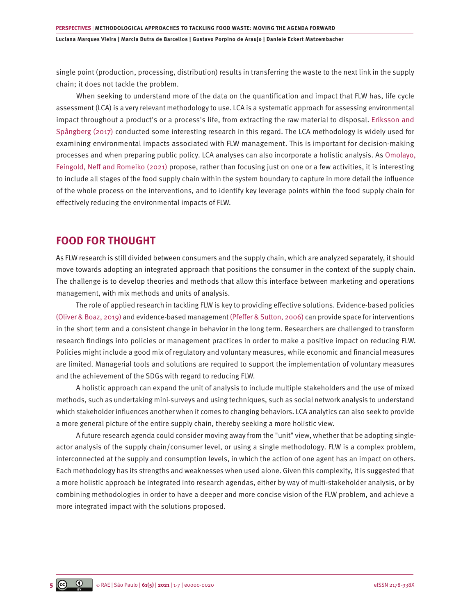single point (production, processing, distribution) results in transferring the waste to the next link in the supply chain; it does not tackle the problem.

When seeking to understand more of the data on the quantification and impact that FLW has, life cycle assessment (LCA) is a very relevant methodology to use. LCA is a systematic approach for assessing environmental impact throughout a product's or a process's life, from extracting the raw material to disposal. [Eriksson and](#page-5-0)  [Spångberg \(2017\)](#page-5-0) conducted some interesting research in this regard. The LCA methodology is widely used for examining environmental impacts associated with FLW management. This is important for decision-making processes and when preparing public policy. LCA analyses can also incorporate a holistic analysis. As [Omolayo,](#page-5-0)  [Feingold, Neff and Romeiko \(2021\)](#page-5-0) propose, rather than focusing just on one or a few activities, it is interesting to include all stages of the food supply chain within the system boundary to capture in more detail the influence of the whole process on the interventions, and to identify key leverage points within the food supply chain for effectively reducing the environmental impacts of FLW.

#### **FOOD FOR THOUGHT**

As FLW research is still divided between consumers and the supply chain, which are analyzed separately, it should move towards adopting an integrated approach that positions the consumer in the context of the supply chain. The challenge is to develop theories and methods that allow this interface between marketing and operations management, with mix methods and units of analysis.

The role of applied research in tackling FLW is key to providing effective solutions. Evidence-based policies [\(Oliver & Boaz, 2019\)](#page-5-0) and evidence-based management [\(Pfeffer & Sutton, 2006\)](#page-6-0) can provide space for interventions in the short term and a consistent change in behavior in the long term. Researchers are challenged to transform research findings into policies or management practices in order to make a positive impact on reducing FLW. Policies might include a good mix of regulatory and voluntary measures, while economic and financial measures are limited. Managerial tools and solutions are required to support the implementation of voluntary measures and the achievement of the SDGs with regard to reducing FLW.

A holistic approach can expand the unit of analysis to include multiple stakeholders and the use of mixed methods, such as undertaking mini-surveys and using techniques, such as social network analysis to understand which stakeholder influences another when it comes to changing behaviors. LCA analytics can also seek to provide a more general picture of the entire supply chain, thereby seeking a more holistic view.

A future research agenda could consider moving away from the "unit" view, whether that be adopting singleactor analysis of the supply chain/consumer level, or using a single methodology. FLW is a complex problem, interconnected at the supply and consumption levels, in which the action of one agent has an impact on others. Each methodology has its strengths and weaknesses when used alone. Given this complexity, it is suggested that a more holistic approach be integrated into research agendas, either by way of multi-stakeholder analysis, or by combining methodologies in order to have a deeper and more concise vision of the FLW problem, and achieve a more integrated impact with the solutions proposed.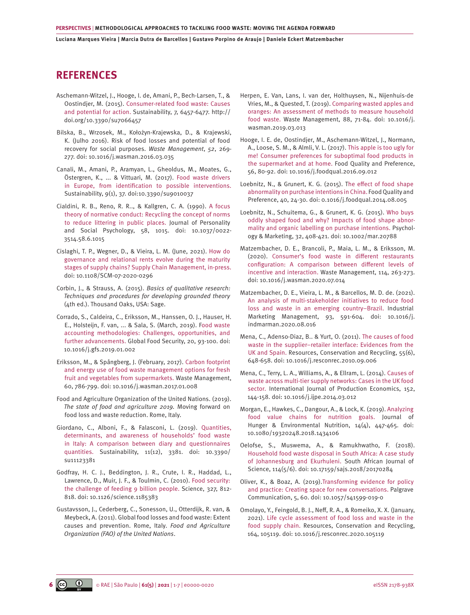### <span id="page-5-0"></span>**REFERENCES**

- [Aschemann-Witzel, J., Hooge, I. de, Amani, P., Bech-Larsen, T., &](http://doi.org/10.3390/su7066457)  [Oostindjer, M. \(2015\). Consumer-related food waste: Causes](http://doi.org/10.3390/su7066457)  [and potential for action. Sustainability, 7, 6457-6477. http://](http://doi.org/10.3390/su7066457) [doi.org/10.3390/su7066457](http://doi.org/10.3390/su7066457)
- Bilska, B., Wrzosek, M., Kołożyn-Krajewska, D., & Krajewski, K. (Julho 2016). Risk of food losses and potential of food recovery for social purposes. *Waste Management*, *52*, 269- 277. [doi: 10.1016/j.wasman.2016.03.035](https://doi.org/10.1016/j.wasman.2016.03.035)
- [Canali, M., Amani, P., Aramyan, L., Gheoldus, M., Moates, G.,](https://core.ac.uk/download/pdf/80070279.pdf) [Östergren, K., ... & Vittuari, M. \(2017\).](https://core.ac.uk/download/pdf/80070279.pdf) Food waste drivers [in Europe, from identification to possible interventions.](https://core.ac.uk/download/pdf/80070279.pdf) [Sustainability, 9\(1\), 37. doi:10.3390/su9010037](https://core.ac.uk/download/pdf/80070279.pdf)
- [Cialdini, R. B., Reno, R. R.., & Kallgren, C. A. \(1990\). A focus](http://doi.org/10.1037/0022-3514.58.6.1015)  [theory of normative conduct: Recycling the concept of norms](http://doi.org/10.1037/0022-3514.58.6.1015)  [to reduce littering in public places. Journal of Personality](http://doi.org/10.1037/0022-3514.58.6.1015)  [and Social Psychology, 58, 1015. doi: 10.1037/0022-](http://doi.org/10.1037/0022-3514.58.6.1015) [3514.58.6.1015](http://doi.org/10.1037/0022-3514.58.6.1015)
- [Cislaghi, T. P., Wegner, D., & Vieira, L. M. \(June, 2021\). How do](https://doi.org/10.1108/SCM-07-2020-0296)  [governance and relational rents evolve during the maturity](https://doi.org/10.1108/SCM-07-2020-0296)  [stages of supply chains? Supply Chain Management, in-press.](https://doi.org/10.1108/SCM-07-2020-0296) [doi: 10.1108/SCM-07-2020-0296](https://doi.org/10.1108/SCM-07-2020-0296)
- Corbin, J., & Strauss, A. (2015). *Basics of qualitative research: Techniques and procedures for developing grounded theory* (4th ed.). Thousand Oaks, USA: Sage.
- [Corrado, S., Caldeira, C., Eriksson, M., Hanssen, O. J., Hauser, H.](https://www.sciencedirect.com/science/article/pii/S2211912417301530) [E., Holsteijn, F. van, ... & Sala, S. \(March, 2019\). Food waste](https://www.sciencedirect.com/science/article/pii/S2211912417301530)  [accounting methodologies: Challenges, opportunities, and](https://www.sciencedirect.com/science/article/pii/S2211912417301530)  [further advancements. Global Food Security, 20, 93-100. doi:](https://www.sciencedirect.com/science/article/pii/S2211912417301530)  [10.1016/j.gfs.2019.01.002](https://www.sciencedirect.com/science/article/pii/S2211912417301530)
- [Eriksson, M., & Spångberg, J. \(February, 2017\). Carbon footprint](https://pubmed.ncbi.nlm.nih.gov/28089203/)  [and energy use of food waste management options for fresh](https://pubmed.ncbi.nlm.nih.gov/28089203/)  [fruit and vegetables from supermarkets. Waste Management,](https://pubmed.ncbi.nlm.nih.gov/28089203/) [60, 786-799. doi: 10.1016/j.wasman.2017.01.008](https://pubmed.ncbi.nlm.nih.gov/28089203/)
- Food and Agriculture Organization of the United Nations. (2019). *The state of food and agriculture 2019.* Moving forward on food loss and waste reduction. Rome, Italy.
- [Giordano, C., Alboni, F., & Falasconi, L. \(2019\). Quantities,](https://doi.org/10.3390/su11123381) [determinants, and awareness of households' food waste](https://doi.org/10.3390/su11123381)  [in Italy: A comparison between diary and questionnaires](https://doi.org/10.3390/su11123381)  [quantities. Sustainability, 11\(12\), 3381. doi: 10.3390/](https://doi.org/10.3390/su11123381) [su11123381](https://doi.org/10.3390/su11123381)
- [Godfray, H. C. J., Beddington, J. R., Crute, I. R., Haddad, L.,](http://doi.org/10.1126/science.1185383) [Lawrence, D., Muir, J. F., & Toulmin, C. \(2010\). Food security:](http://doi.org/10.1126/science.1185383)  [the challenge of feeding 9 billion people. Science, 327, 812-](http://doi.org/10.1126/science.1185383) [818. doi: 10.1126/science.1185383](http://doi.org/10.1126/science.1185383)
- Gustavsson, J., Cederberg, C., Sonesson, U., Otterdijk, R. van, & Meybeck, A. (2011). Global food losses and food waste: Extent causes and prevention. Rome, Italy. *Food and Agriculture Organization (FAO) of the United Nations*.
- [Herpen, E. Van, Lans, I. van der, Holthuysen, N., Nijenhuis-de](https://doi.org/10.1016/j.wasman.2019.03.013)  [Vries, M., & Quested, T. \(2019\). Comparing wasted apples and](https://doi.org/10.1016/j.wasman.2019.03.013) [oranges: An assessment of methods to measure household](https://doi.org/10.1016/j.wasman.2019.03.013) [food waste. Waste Management, 88, 71-84. doi: 10.1016/j.](https://doi.org/10.1016/j.wasman.2019.03.013) [wasman.2019.03.013](https://doi.org/10.1016/j.wasman.2019.03.013)
- [Hooge, I. E. de, Oostindjer, M., Aschemann-Witzel, J., Normann,](http://doi.org/10.1016/j.foodqual.2016.09.012)  [A., Loose, S. M., & Almli, V. L. \(2017\). This apple is too ugly for](http://doi.org/10.1016/j.foodqual.2016.09.012) [me! Consumer preferences for suboptimal food products in](http://doi.org/10.1016/j.foodqual.2016.09.012) [the supermarket and at home. Food Quality and Preference,](http://doi.org/10.1016/j.foodqual.2016.09.012)  [56, 80-92. doi: 10.1016/j.foodqual.2016.09.012](http://doi.org/10.1016/j.foodqual.2016.09.012)
- [Loebnitz, N., & Grunert, K. G. \(2015\). The effect of food shape](https://doi.org/10.1016/j.foodqual.2014.08.005)  [abnormality on purchase intentions in China. Food Quality and](https://doi.org/10.1016/j.foodqual.2014.08.005) [Preference, 40, 24-30. doi: 0.1016/j.foodqual.2014.08.005](https://doi.org/10.1016/j.foodqual.2014.08.005)
- [Loebnitz, N., Schuitema, G., & Grunert, K. G. \(2015\). Who buys](http://doi.org/10.1002/mar.20788) [oddly shaped food and why? Impacts of food shape abnor](http://doi.org/10.1002/mar.20788)[mality and organic labelling on purchase intentions. Psychol](http://doi.org/10.1002/mar.20788)[ogy & Marketing, 32, 408-421. doi: 10.1002/mar.20788](http://doi.org/10.1002/mar.20788)
- [Matzembacher, D. E., Brancoli, P., Maia, L. M., & Eriksson, M.](https://doi.org/10.1016/j.wasman.2020.07.014)  [\(2020\). Consumer's food waste in different restaurants](https://doi.org/10.1016/j.wasman.2020.07.014) [configuration: A comparison between different levels of](https://doi.org/10.1016/j.wasman.2020.07.014) incentive and interaction. [Waste Management, 114, 263-273.](https://doi.org/10.1016/j.wasman.2020.07.014)  [doi: 10.1016/j.wasman.2020.07.014](https://doi.org/10.1016/j.wasman.2020.07.014)
- [Matzembacher, D. E., Vieira, L. M., & Barcellos, M. D. de. \(2021\).](https://doi.org/10.1016/j.indmarman.2020.08.016)  [An analysis of multi-stakeholder initiatives to reduce food](https://doi.org/10.1016/j.indmarman.2020.08.016) [loss and waste in an emerging country–Brazil. Industrial](https://doi.org/10.1016/j.indmarman.2020.08.016)  [Marketing Management, 93, 591-604. doi: 10.1016/j.](https://doi.org/10.1016/j.indmarman.2020.08.016) [indmarman.2020.08.016](https://doi.org/10.1016/j.indmarman.2020.08.016)
- [Mena, C., Adenso-Diaz, B.. & Yurt, O. \(2011\).](https://doi.org/10.1016/j.resconrec.2010.09.006) The causes of food [waste in the supplier–retailer interface: Evidences from the](https://doi.org/10.1016/j.resconrec.2010.09.006)  [UK and Spain. Resources, Conservation and Recycling, 55\(6\),](https://doi.org/10.1016/j.resconrec.2010.09.006)  [648-658. doi: 10.1016/j.resconrec.2010.09.006](https://doi.org/10.1016/j.resconrec.2010.09.006)
- [Mena, C., Terry, L. A., Williams, A., & Ellram, L. \(2014\). Causes of](https://doi.org/10.1016/j.ijpe.2014.03.012) [waste across multi-tier supply networks: Cases in the UK food](https://doi.org/10.1016/j.ijpe.2014.03.012) [sector. International Journal of Production Economics, 152,](https://doi.org/10.1016/j.ijpe.2014.03.012)  [144-158. doi: 10.1016/j.ijpe.2014.03.012](https://doi.org/10.1016/j.ijpe.2014.03.012)
- [Morgan, E., Hawkes, C., Dangour, A., & Lock, K. \(2019\). Analyzing](https://www.tandfonline.com/doi/full/10.1080/19320248.2018.1434106) [food value chains for nutrition goals. Journal of](https://www.tandfonline.com/doi/full/10.1080/19320248.2018.1434106) Hunger & Environmental Nutrition, 14(4), 447-465. doi: [10.1080/19320248.2018.1434106](https://www.tandfonline.com/doi/full/10.1080/19320248.2018.1434106)
- [Oelofse, S., Muswema, A., & Ramukhwatho, F. \(2018\).](https://doi.org/10.17159/sajs.2018/20170284)  [Household food waste disposal in South Africa: A case study](https://doi.org/10.17159/sajs.2018/20170284) [of Johannesburg and Ekurhuleni. South African Journal of](https://doi.org/10.17159/sajs.2018/20170284) [Science, 114\(5/6\). doi: 10.17159/sajs.2018/20170284](https://doi.org/10.17159/sajs.2018/20170284)
- [Oliver, K., & Boaz, A. \(2019\).Transforming evidence for policy](https://doi.org/10.1057/s41599-019-0266-1) [and practice: Creating space for new conversations. Palgrave](https://doi.org/10.1057/s41599-019-0266-1)  Communication, 5, [60. doi: 10.1057/s41599-019-0](https://doi.org/10.1057/s41599-019-0266-1)
- [Omolayo, Y., Feingold, B. J., Neff, R. A., & Romeiko, X. X. \(January,](https://doi.org/10.1016/j.resconrec.2020.105119)  [2021\). Life cycle assessment of food loss and waste in the](https://doi.org/10.1016/j.resconrec.2020.105119)  [food supply chain. Resources, Conservation and Recycling,](https://doi.org/10.1016/j.resconrec.2020.105119)  [164, 105119. doi: 10.1016/j.resconrec.2020.105119](https://doi.org/10.1016/j.resconrec.2020.105119)